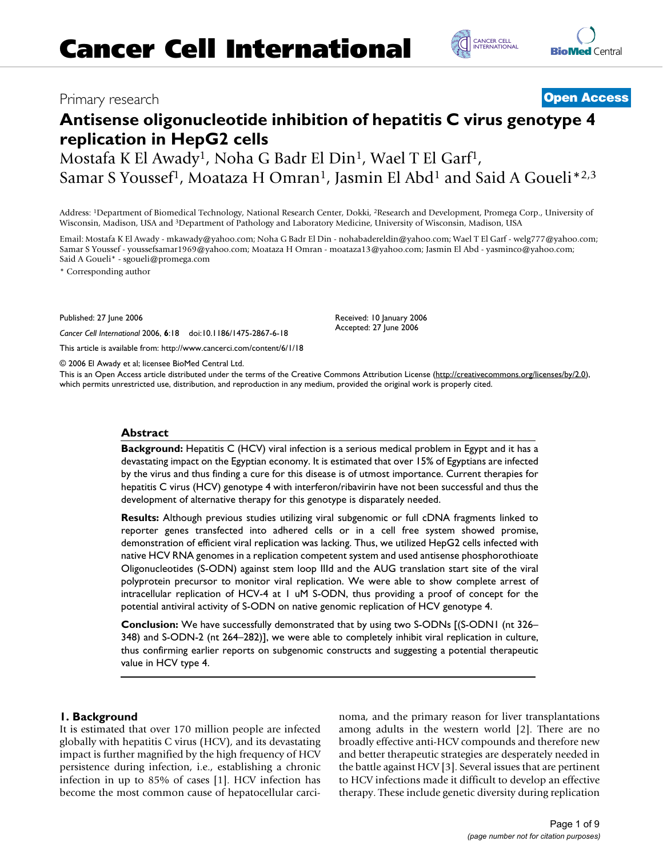## Primary research **[Open Access](http://www.biomedcentral.com/info/about/charter/)**

# **Antisense oligonucleotide inhibition of hepatitis C virus genotype 4 replication in HepG2 cells**

Mostafa K El Awady1, Noha G Badr El Din1, Wael T El Garf1, Samar S Youssef<sup>1</sup>, Moataza H Omran<sup>1</sup>, Jasmin El Abd<sup>1</sup> and Said A Goueli<sup>\*2,3</sup>

Address: 1Department of Biomedical Technology, National Research Center, Dokki, 2Research and Development, Promega Corp., University of Wisconsin, Madison, USA and 3Department of Pathology and Laboratory Medicine, University of Wisconsin, Madison, USA

Email: Mostafa K El Awady - mkawady@yahoo.com; Noha G Badr El Din - nohabadereldin@yahoo.com; Wael T El Garf - welg777@yahoo.com; Samar S Youssef - youssefsamar1969@yahoo.com; Moataza H Omran - moataza13@yahoo.com; Jasmin El Abd - yasminco@yahoo.com; Said A Goueli\* - sgoueli@promega.com

> Received: 10 January 2006 Accepted: 27 June 2006

\* Corresponding author

Published: 27 June 2006

*Cancer Cell International* 2006, **6**:18 doi:10.1186/1475-2867-6-18

[This article is available from: http://www.cancerci.com/content/6/1/18](http://www.cancerci.com/content/6/1/18)

© 2006 El Awady et al; licensee BioMed Central Ltd.

This is an Open Access article distributed under the terms of the Creative Commons Attribution License [\(http://creativecommons.org/licenses/by/2.0\)](http://creativecommons.org/licenses/by/2.0), which permits unrestricted use, distribution, and reproduction in any medium, provided the original work is properly cited.

### **Abstract**

Background: Hepatitis C (HCV) viral infection is a serious medical problem in Egypt and it has a devastating impact on the Egyptian economy. It is estimated that over 15% of Egyptians are infected by the virus and thus finding a cure for this disease is of utmost importance. Current therapies for hepatitis C virus (HCV) genotype 4 with interferon/ribavirin have not been successful and thus the development of alternative therapy for this genotype is disparately needed.

**Results:** Although previous studies utilizing viral subgenomic or full cDNA fragments linked to reporter genes transfected into adhered cells or in a cell free system showed promise, demonstration of efficient viral replication was lacking. Thus, we utilized HepG2 cells infected with native HCV RNA genomes in a replication competent system and used antisense phosphorothioate Oligonucleotides (S-ODN) against stem loop IIId and the AUG translation start site of the viral polyprotein precursor to monitor viral replication. We were able to show complete arrest of intracellular replication of HCV-4 at 1 uM S-ODN, thus providing a proof of concept for the potential antiviral activity of S-ODN on native genomic replication of HCV genotype 4.

**Conclusion:** We have successfully demonstrated that by using two S-ODNs [(S-ODN1 (nt 326– 348) and S-ODN-2 (nt 264–282)], we were able to completely inhibit viral replication in culture, thus confirming earlier reports on subgenomic constructs and suggesting a potential therapeutic value in HCV type 4.

### **1. Background**

It is estimated that over 170 million people are infected globally with hepatitis C virus (HCV), and its devastating impact is further magnified by the high frequency of HCV persistence during infection, i.e., establishing a chronic infection in up to 85% of cases [1]. HCV infection has become the most common cause of hepatocellular carcinoma, and the primary reason for liver transplantations among adults in the western world [2]. There are no broadly effective anti-HCV compounds and therefore new and better therapeutic strategies are desperately needed in the battle against HCV [3]. Several issues that are pertinent to HCV infections made it difficult to develop an effective therapy. These include genetic diversity during replication



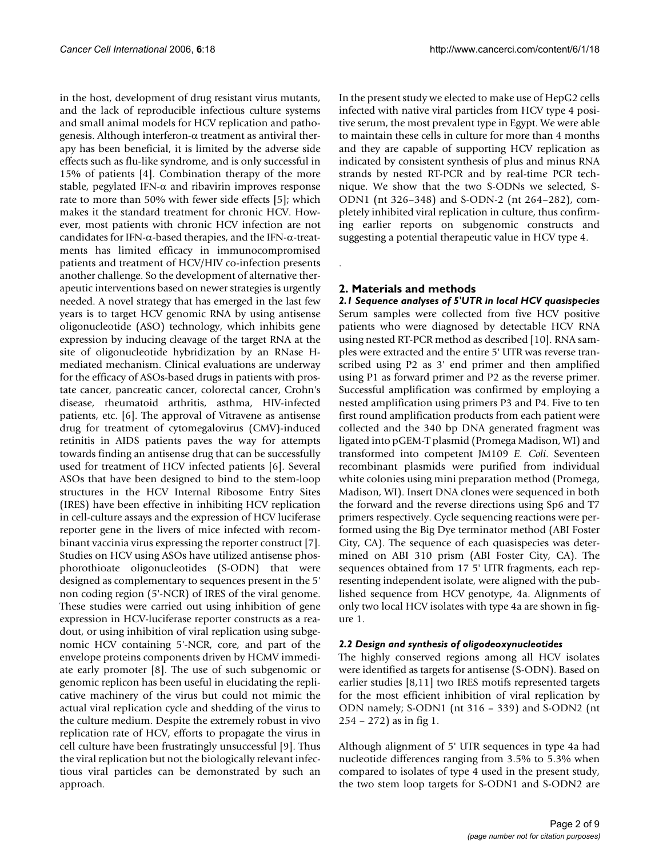in the host, development of drug resistant virus mutants, and the lack of reproducible infectious culture systems and small animal models for HCV replication and pathogenesis. Although interferon-α treatment as antiviral therapy has been beneficial, it is limited by the adverse side effects such as flu-like syndrome, and is only successful in 15% of patients [4]. Combination therapy of the more stable, pegylated IFN- $\alpha$  and ribavirin improves response rate to more than 50% with fewer side effects [5]; which makes it the standard treatment for chronic HCV. However, most patients with chronic HCV infection are not candidates for IFN-α-based therapies, and the IFN-α-treatments has limited efficacy in immunocompromised patients and treatment of HCV/HIV co-infection presents another challenge. So the development of alternative therapeutic interventions based on newer strategies is urgently needed. A novel strategy that has emerged in the last few years is to target HCV genomic RNA by using antisense oligonucleotide (ASO) technology, which inhibits gene expression by inducing cleavage of the target RNA at the site of oligonucleotide hybridization by an RNase Hmediated mechanism. Clinical evaluations are underway for the efficacy of ASOs-based drugs in patients with prostate cancer, pancreatic cancer, colorectal cancer, Crohn's disease, rheumatoid arthritis, asthma, HIV-infected patients, etc. [6]. The approval of Vitravene as antisense drug for treatment of cytomegalovirus (CMV)-induced retinitis in AIDS patients paves the way for attempts towards finding an antisense drug that can be successfully used for treatment of HCV infected patients [6]. Several ASOs that have been designed to bind to the stem-loop structures in the HCV Internal Ribosome Entry Sites (IRES) have been effective in inhibiting HCV replication in cell-culture assays and the expression of HCV luciferase reporter gene in the livers of mice infected with recombinant vaccinia virus expressing the reporter construct [7]. Studies on HCV using ASOs have utilized antisense phosphorothioate oligonucleotides (S-ODN) that were designed as complementary to sequences present in the 5' non coding region (5'-NCR) of IRES of the viral genome. These studies were carried out using inhibition of gene expression in HCV-luciferase reporter constructs as a readout, or using inhibition of viral replication using subgenomic HCV containing 5'-NCR, core, and part of the envelope proteins components driven by HCMV immediate early promoter [8]. The use of such subgenomic or genomic replicon has been useful in elucidating the replicative machinery of the virus but could not mimic the actual viral replication cycle and shedding of the virus to the culture medium. Despite the extremely robust in vivo replication rate of HCV, efforts to propagate the virus in cell culture have been frustratingly unsuccessful [9]. Thus the viral replication but not the biologically relevant infectious viral particles can be demonstrated by such an approach.

In the present study we elected to make use of HepG2 cells infected with native viral particles from HCV type 4 positive serum, the most prevalent type in Egypt. We were able to maintain these cells in culture for more than 4 months and they are capable of supporting HCV replication as indicated by consistent synthesis of plus and minus RNA strands by nested RT-PCR and by real-time PCR technique. We show that the two S-ODNs we selected, S-ODN1 (nt 326–348) and S-ODN-2 (nt 264–282), completely inhibited viral replication in culture, thus confirming earlier reports on subgenomic constructs and suggesting a potential therapeutic value in HCV type 4.

### **2. Materials and methods**

.

*2.1 Sequence analyses of 5'UTR in local HCV quasispecies* Serum samples were collected from five HCV positive patients who were diagnosed by detectable HCV RNA using nested RT-PCR method as described [10]. RNA samples were extracted and the entire 5' UTR was reverse transcribed using P2 as 3' end primer and then amplified using P1 as forward primer and P2 as the reverse primer. Successful amplification was confirmed by employing a nested amplification using primers P3 and P4. Five to ten first round amplification products from each patient were collected and the 340 bp DNA generated fragment was ligated into pGEM-T plasmid (Promega Madison, WI) and transformed into competent JM109 *E. Coli*. Seventeen recombinant plasmids were purified from individual white colonies using mini preparation method (Promega, Madison, WI). Insert DNA clones were sequenced in both the forward and the reverse directions using Sp6 and T7 primers respectively. Cycle sequencing reactions were performed using the Big Dye terminator method (ABI Foster City, CA). The sequence of each quasispecies was determined on ABI 310 prism (ABI Foster City, CA). The sequences obtained from 17 5' UTR fragments, each representing independent isolate, were aligned with the published sequence from HCV genotype, 4a. Alignments of only two local HCV isolates with type 4a are shown in figure 1.

### *2.2 Design and synthesis of oligodeoxynucleotides*

The highly conserved regions among all HCV isolates were identified as targets for antisense (S-ODN). Based on earlier studies [8,11] two IRES motifs represented targets for the most efficient inhibition of viral replication by ODN namely; S-ODN1 (nt 316 – 339) and S-ODN2 (nt 254 – 272) as in fig 1.

Although alignment of 5' UTR sequences in type 4a had nucleotide differences ranging from 3.5% to 5.3% when compared to isolates of type 4 used in the present study, the two stem loop targets for S-ODN1 and S-ODN2 are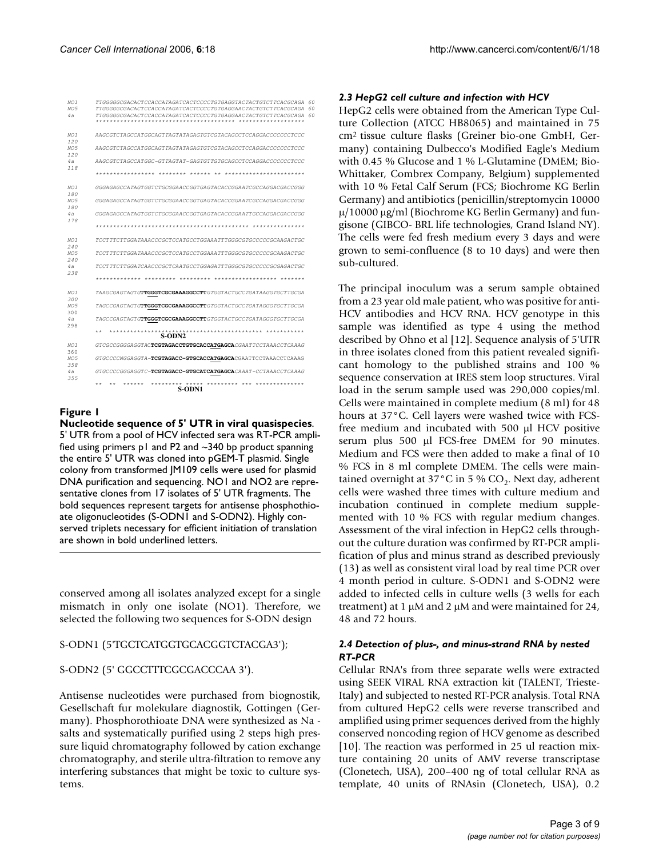| NO1<br>NO.5<br>4a                     | TTGGGGGGCGACACTCCACCATAGATCACTCCCCTGTGAGGTACTACTGTCTTCACGCAGA<br>TTGGGGGCGACACTCCACCATAGATCACTCCCCTGTGAGGAACTACTGTCTTCACGCAGA<br>TTGGGGGCGACACTCCACCATAGATCACTCCCCTGTGAGGAACTACTGTCTTCACGCAGA<br>******************* | 60<br>60<br>60 |
|---------------------------------------|----------------------------------------------------------------------------------------------------------------------------------------------------------------------------------------------------------------------|----------------|
| NO <sub>1</sub><br>120<br>NO.5<br>120 | AAGCGTCTAGCCATGGCAGTTAGTATAGAGTGTCGTACAGCCTCCAGGACCCCCCCTCCC                                                                                                                                                         |                |
|                                       |                                                                                                                                                                                                                      |                |
| 4a<br>118                             | AAGCGTCTAGCCATGGC-GTTAGTAT-GAGTGTTGTGCAGCCTCCAGGACCCCCCCTCCC                                                                                                                                                         |                |
|                                       | *****************<br>********<br>$******$<br>$* *$<br>***********************                                                                                                                                        |                |
| NO1<br>180                            | GGGAGAGCCATAGTGGTCTGCGGAACCGGTGAGTACACCGGAATCGCCAGGACGACCGGG                                                                                                                                                         |                |
| NO <sub>5</sub><br>180                | GGGAGAGCCATAGTGGTCTGCGGAACCGGTGAGTACACCGGAATCGCCAGGACGACCGGG                                                                                                                                                         |                |
| 4a<br>178                             | GGGAGAGCCATAGTGGTCTGCGGAACCGGTGAGTACACCGGAATTGCCAGGACGACCGGG                                                                                                                                                         |                |
|                                       | ***************                                                                                                                                                                                                      |                |
| NO1<br>240                            | TCCTTTCTTGGATAAACCCGCTCCATGCCTGGAAATTTGGGCGTGCCCCCCGCAAGACTGC                                                                                                                                                        |                |
| NO <sub>5</sub><br>240                | TCCTTTCTTGGATAAACCCGCTCCATGCCTGGAAATTTGGGCGTGCCCCCCGCAAGACTGC                                                                                                                                                        |                |
| 4a<br>238                             | TCCTTTCTTGGATCAACCCGCTCAATGCCTGGAGATTTGGGCGTGCCCCCCGCGAGACTGC                                                                                                                                                        |                |
|                                       | *************<br>*********<br>*********<br>******************<br>*******                                                                                                                                             |                |
| NO <sub>1</sub><br>300                | TAAGCGAGTAGTGTTGGGTCGCGAAAGGCCTTGTGGTACTGCCTGATAAGGTGCTTGCGA                                                                                                                                                         |                |
| NO5<br>300                            | TAGCCGAGTAGTG <b>TTGGGTCGCGAAAGGCCTT</b> GTGGTACTGCCTGATAGGGTGCTTGCGA                                                                                                                                                |                |
| 4a<br>298                             | TAGCCGAGTAGTG <b>TTGGGTCGCGAAAGGCCTT</b> GTGGTACTGCCTGATAGGGTGCTTGCGA                                                                                                                                                |                |
|                                       | $* *$<br>***********<br>S-ODN2                                                                                                                                                                                       |                |
| NO1<br>360                            | GTCGCCGGGGAGGTACTCGTAGACCTGTGCACCATGAGCACGAATTCCTAAACCTCAAAG                                                                                                                                                         |                |
| NO.5<br>358                           | GTGCCCCNGGAGGTA-TCGTAGACC-GTGCACCATGAGCACGAATTCCTAAACCTCAAAG                                                                                                                                                         |                |
| 4a<br>3.5.5                           | GTGCCCCGGGAGGTC-TCGTAGACC-GTGCATCATGAGCACAAAT-CCTAAACCTCAAAG                                                                                                                                                         |                |
|                                       | ********* *****<br>********* *** **************<br>**<br>**<br>******<br>S-ODN1                                                                                                                                      |                |

### Figure 1

**Nucleotide sequence of 5' UTR in viral quasispecies**. 5' UTR from a pool of HCV infected sera was RT-PCR amplified using primers p1 and P2 and ~340 bp product spanning the entire 5' UTR was cloned into pGEM-T plasmid. Single colony from transformed JM109 cells were used for plasmid DNA purification and sequencing. NO1 and NO2 are representative clones from 17 isolates of 5' UTR fragments. The bold sequences represent targets for antisense phosphothioate oligonucleotides (S-ODN1 and S-ODN2). Highly conserved triplets necessary for efficient initiation of translation are shown in bold underlined letters.

conserved among all isolates analyzed except for a single mismatch in only one isolate (NO1). Therefore, we selected the following two sequences for S-ODN design

S-ODN1 (5'TGCTCATGGTGCACGGTCTACGA3');

### S-ODN2 (5' GGCCTTTCGCGACCCAA 3').

Antisense nucleotides were purchased from biognostik, Gesellschaft fur molekulare diagnostik, Gottingen (Germany). Phosphorothioate DNA were synthesized as Na salts and systematically purified using 2 steps high pressure liquid chromatography followed by cation exchange chromatography, and sterile ultra-filtration to remove any interfering substances that might be toxic to culture systems.

### *2.3 HepG2 cell culture and infection with HCV*

HepG2 cells were obtained from the American Type Culture Collection (ATCC HB8065) and maintained in 75 cm2 tissue culture flasks (Greiner bio-one GmbH, Germany) containing Dulbecco's Modified Eagle's Medium with 0.45 % Glucose and 1 % L-Glutamine (DMEM; Bio-Whittaker, Combrex Company, Belgium) supplemented with 10 % Fetal Calf Serum (FCS; Biochrome KG Berlin Germany) and antibiotics (penicillin/streptomycin 10000  $\mu$ /10000  $\mu$ g/ml (Biochrome KG Berlin Germany) and fungisone (GIBCO- BRL life technologies, Grand Island NY). The cells were fed fresh medium every 3 days and were grown to semi-confluence (8 to 10 days) and were then sub-cultured.

The principal inoculum was a serum sample obtained from a 23 year old male patient, who was positive for anti-HCV antibodies and HCV RNA. HCV genotype in this sample was identified as type 4 using the method described by Ohno et al [12]. Sequence analysis of 5'UTR in three isolates cloned from this patient revealed significant homology to the published strains and 100 % sequence conservation at IRES stem loop structures. Viral load in the serum sample used was 290,000 copies/ml. Cells were maintained in complete medium (8 ml) for 48 hours at 37°C. Cell layers were washed twice with FCSfree medium and incubated with 500 µl HCV positive serum plus 500 µl FCS-free DMEM for 90 minutes. Medium and FCS were then added to make a final of 10 % FCS in 8 ml complete DMEM. The cells were maintained overnight at 37 °C in 5 %  $CO_2$ . Next day, adherent cells were washed three times with culture medium and incubation continued in complete medium supplemented with 10 % FCS with regular medium changes. Assessment of the viral infection in HepG2 cells throughout the culture duration was confirmed by RT-PCR amplification of plus and minus strand as described previously (13) as well as consistent viral load by real time PCR over 4 month period in culture. S-ODN1 and S-ODN2 were added to infected cells in culture wells (3 wells for each treatment) at 1 µM and 2 µM and were maintained for 24, 48 and 72 hours.

### *2.4 Detection of plus-, and minus-strand RNA by nested RT-PCR*

*C*ellular RNA's from three separate wells were extracted using SEEK VIRAL RNA extraction kit (TALENT, Trieste-Italy) and subjected to nested RT-PCR analysis. Total RNA from cultured HepG2 cells were reverse transcribed and amplified using primer sequences derived from the highly conserved noncoding region of HCV genome as described [10]. The reaction was performed in 25 ul reaction mixture containing 20 units of AMV reverse transcriptase (Clonetech, USA), 200–400 ng of total cellular RNA as template, 40 units of RNAsin (Clonetech, USA), 0.2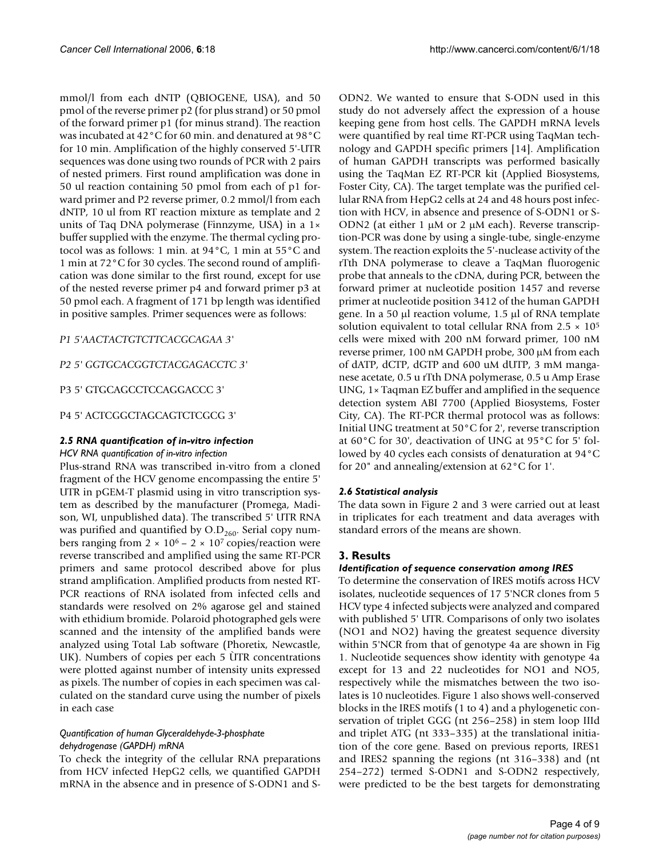mmol/l from each dNTP (QBIOGENE, USA), and 50 pmol of the reverse primer p2 (for plus strand) or 50 pmol of the forward primer p1 (for minus strand). The reaction was incubated at 42°C for 60 min. and denatured at 98°C for 10 min. Amplification of the highly conserved 5'-UTR sequences was done using two rounds of PCR with 2 pairs of nested primers. First round amplification was done in 50 ul reaction containing 50 pmol from each of p1 forward primer and P2 reverse primer, 0.2 mmol/l from each dNTP, 10 ul from RT reaction mixture as template and 2 units of Taq DNA polymerase (Finnzyme, USA) in a 1× buffer supplied with the enzyme. The thermal cycling protocol was as follows: 1 min. at 94°C, 1 min at 55°C and 1 min at 72°C for 30 cycles. The second round of amplification was done similar to the first round, except for use of the nested reverse primer p4 and forward primer p3 at 50 pmol each. A fragment of 171 bp length was identified in positive samples. Primer sequences were as follows:

### *P1 5'AACTACTGTCTTCACGCAGAA 3'*

### *P2 5' GGTGCACGGTCTACGAGACCTC 3'*

### P3 5' GTGCAGCCTCCAGGACCC 3'

### P4 5' ACTCGGCTAGCAGTCTCGCG 3'

### *2.5 RNA quantification of in-vitro infection*

### *HCV RNA quantification of in-vitro infection*

Plus-strand RNA was transcribed in-vitro from a cloned fragment of the HCV genome encompassing the entire 5' UTR in pGEM-T plasmid using in vitro transcription system as described by the manufacturer (Promega, Madison, WI, unpublished data). The transcribed 5' UTR RNA was purified and quantified by  $O.D<sub>260</sub>$ . Serial copy numbers ranging from  $2 \times 10^6 - 2 \times 10^7$  copies/reaction were reverse transcribed and amplified using the same RT-PCR primers and same protocol described above for plus strand amplification. Amplified products from nested RT-PCR reactions of RNA isolated from infected cells and standards were resolved on 2% agarose gel and stained with ethidium bromide. Polaroid photographed gels were scanned and the intensity of the amplified bands were analyzed using Total Lab software (Phoretix, Newcastle, UK). Numbers of copies per each 5 ÙTR concentrations were plotted against number of intensity units expressed as pixels. The number of copies in each specimen was calculated on the standard curve using the number of pixels in each case

### *Quantification of human Glyceraldehyde-3-phosphate dehydrogenase (GAPDH) mRNA*

To check the integrity of the cellular RNA preparations from HCV infected HepG2 cells, we quantified GAPDH mRNA in the absence and in presence of S-ODN1 and S-

ODN2. We wanted to ensure that S-ODN used in this study do not adversely affect the expression of a house keeping gene from host cells. The GAPDH mRNA levels were quantified by real time RT-PCR using TaqMan technology and GAPDH specific primers [14]. Amplification of human GAPDH transcripts was performed basically using the TaqMan EZ RT-PCR kit (Applied Biosystems, Foster City, CA). The target template was the purified cellular RNA from HepG2 cells at 24 and 48 hours post infection with HCV, in absence and presence of S-ODN1 or S-ODN2 (at either 1  $\mu$ M or 2  $\mu$ M each). Reverse transcription-PCR was done by using a single-tube, single-enzyme system. The reaction exploits the 5'-nuclease activity of the rTth DNA polymerase to cleave a TaqMan fluorogenic probe that anneals to the cDNA, during PCR, between the forward primer at nucleotide position 1457 and reverse primer at nucleotide position 3412 of the human GAPDH gene. In a 50 µl reaction volume, 1.5 µl of RNA template solution equivalent to total cellular RNA from  $2.5 \times 10^5$ cells were mixed with 200 nM forward primer, 100 nM reverse primer, 100 nM GAPDH probe, 300 µM from each of dATP, dCTP, dGTP and 600 uM dUTP, 3 mM manganese acetate, 0.5 u rTth DNA polymerase, 0.5 u Amp Erase UNG, 1× Taqman EZ buffer and amplified in the sequence detection system ABI 7700 (Applied Biosystems, Foster City, CA). The RT-PCR thermal protocol was as follows: Initial UNG treatment at 50°C for 2', reverse transcription at 60°C for 30', deactivation of UNG at 95°C for 5' followed by 40 cycles each consists of denaturation at 94°C for 20" and annealing/extension at 62°C for 1'.

### *2.6 Statistical analysis*

The data sown in Figure 2 and 3 were carried out at least in triplicates for each treatment and data averages with standard errors of the means are shown.

### **3. Results**

### *Identification of sequence conservation among IRES*

To determine the conservation of IRES motifs across HCV isolates, nucleotide sequences of 17 5'NCR clones from 5 HCV type 4 infected subjects were analyzed and compared with published 5' UTR. Comparisons of only two isolates (NO1 and NO2) having the greatest sequence diversity within 5'NCR from that of genotype 4a are shown in Fig 1. Nucleotide sequences show identity with genotype 4a except for 13 and 22 nucleotides for NO1 and NO5, respectively while the mismatches between the two isolates is 10 nucleotides. Figure 1 also shows well-conserved blocks in the IRES motifs (1 to 4) and a phylogenetic conservation of triplet GGG (nt 256–258) in stem loop IIId and triplet ATG (nt 333–335) at the translational initiation of the core gene. Based on previous reports, IRES1 and IRES2 spanning the regions (nt 316–338) and (nt 254–272) termed S-ODN1 and S-ODN2 respectively, were predicted to be the best targets for demonstrating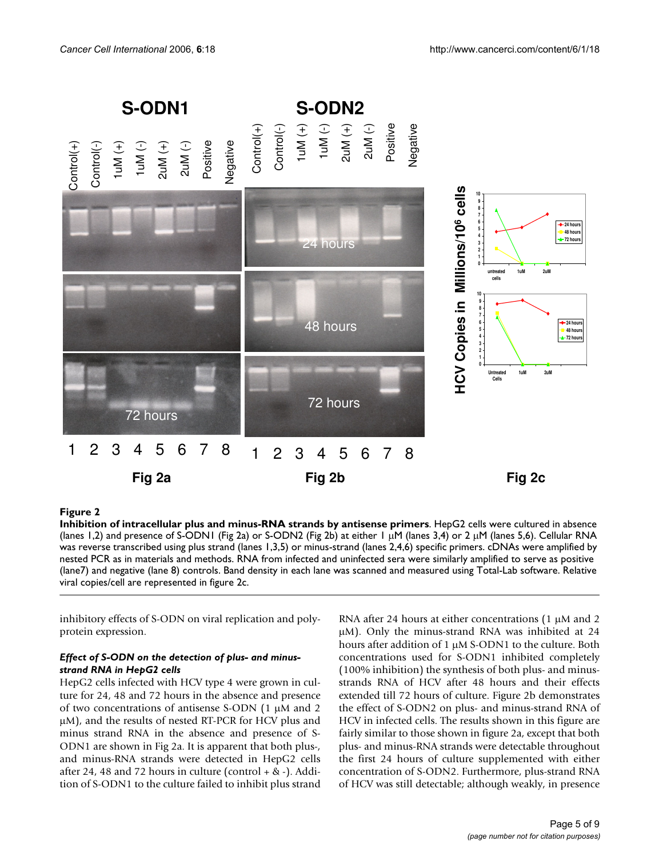

### Figure 2

**Inhibition of intracellular plus and minus-RNA strands by antisense primers**. HepG2 cells were cultured in absence (lanes 1,2) and presence of S-ODN1 (Fig 2a) or S-ODN2 (Fig 2b) at either 1 µM (lanes 3,4) or 2 µM (lanes 5,6). Cellular RNA was reverse transcribed using plus strand (lanes 1,3,5) or minus-strand (lanes 2,4,6) specific primers. cDNAs were amplified by nested PCR as in materials and methods. RNA from infected and uninfected sera were similarly amplified to serve as positive (lane7) and negative (lane 8) controls. Band density in each lane was scanned and measured using Total-Lab software. Relative viral copies/cell are represented in figure 2c.

inhibitory effects of S-ODN on viral replication and polyprotein expression.

### *Effect of S-ODN on the detection of plus- and minusstrand RNA in HepG2 cells*

HepG2 cells infected with HCV type 4 were grown in culture for 24, 48 and 72 hours in the absence and presence of two concentrations of antisense S-ODN (1 µM and 2 µM), and the results of nested RT-PCR for HCV plus and minus strand RNA in the absence and presence of S-ODN1 are shown in Fig 2a. It is apparent that both plus-, and minus-RNA strands were detected in HepG2 cells after 24, 48 and 72 hours in culture (control  $+$  &  $-$ ). Addition of S-ODN1 to the culture failed to inhibit plus strand RNA after 24 hours at either concentrations  $(1 \mu M)$  and 2 µM). Only the minus-strand RNA was inhibited at 24 hours after addition of 1 µM S-ODN1 to the culture. Both concentrations used for S-ODN1 inhibited completely (100% inhibition) the synthesis of both plus- and minusstrands RNA of HCV after 48 hours and their effects extended till 72 hours of culture. Figure 2b demonstrates the effect of S-ODN2 on plus- and minus-strand RNA of HCV in infected cells. The results shown in this figure are fairly similar to those shown in figure 2a, except that both plus- and minus-RNA strands were detectable throughout the first 24 hours of culture supplemented with either concentration of S-ODN2. Furthermore, plus-strand RNA of HCV was still detectable; although weakly, in presence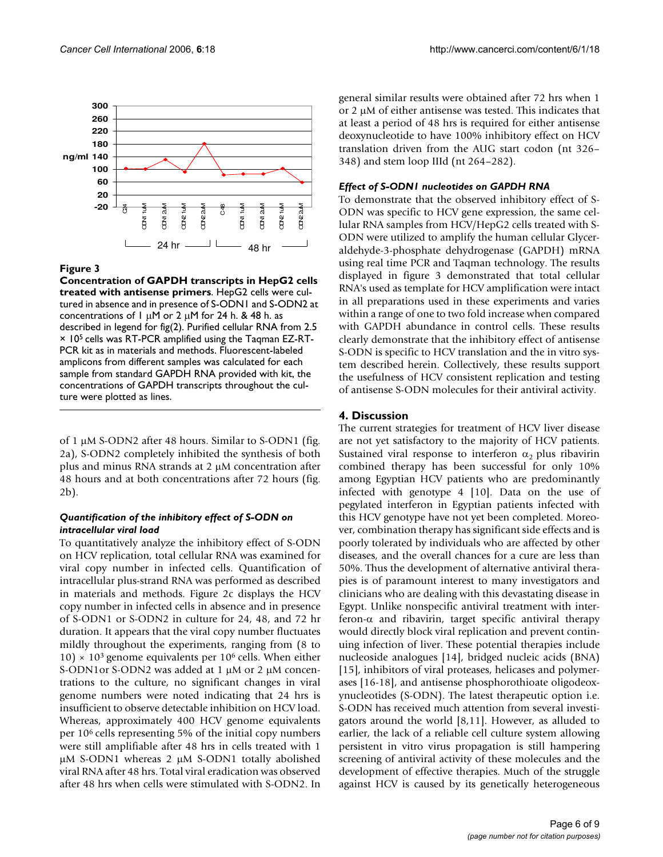

### Figure 3

**Concentration of GAPDH transcripts in HepG2 cells treated with antisense primers**. HepG2 cells were cultured in absence and in presence of S-ODN1 and S-ODN2 at concentrations of 1  $\mu$ M or 2  $\mu$ M for 24 h. & 48 h. as described in legend for fig(2). Purified cellular RNA from 2.5 × 105 cells was RT-PCR amplified using the Taqman EZ-RT-PCR kit as in materials and methods. Fluorescent-labeled amplicons from different samples was calculated for each sample from standard GAPDH RNA provided with kit, the concentrations of GAPDH transcripts throughout the culture were plotted as lines.

of 1 µM S-ODN2 after 48 hours. Similar to S-ODN1 (fig. 2a), S-ODN2 completely inhibited the synthesis of both plus and minus RNA strands at  $2 \mu$ M concentration after 48 hours and at both concentrations after 72 hours (fig. 2b).

### *Quantification of the inhibitory effect of S-ODN on intracellular viral load*

To quantitatively analyze the inhibitory effect of S-ODN on HCV replication, total cellular RNA was examined for viral copy number in infected cells. Quantification of intracellular plus-strand RNA was performed as described in materials and methods. Figure 2c displays the HCV copy number in infected cells in absence and in presence of S-ODN1 or S-ODN2 in culture for 24, 48, and 72 hr duration. It appears that the viral copy number fluctuates mildly throughout the experiments, ranging from (8 to 10)  $\times$  10<sup>3</sup> genome equivalents per 10<sup>6</sup> cells. When either S-ODN1or S-ODN2 was added at 1 µM or 2 µM concentrations to the culture, no significant changes in viral genome numbers were noted indicating that 24 hrs is insufficient to observe detectable inhibition on HCV load. Whereas, approximately 400 HCV genome equivalents per 106 cells representing 5% of the initial copy numbers were still amplifiable after 48 hrs in cells treated with 1 µM S-ODN1 whereas 2 µM S-ODN1 totally abolished viral RNA after 48 hrs. Total viral eradication was observed after 48 hrs when cells were stimulated with S-ODN2. In

general similar results were obtained after 72 hrs when 1 or 2 µM of either antisense was tested. This indicates that at least a period of 48 hrs is required for either antisense deoxynucleotide to have 100% inhibitory effect on HCV translation driven from the AUG start codon (nt 326– 348) and stem loop IIId (nt 264–282).

### *Effect of S-ODN1 nucleotides on GAPDH RNA*

To demonstrate that the observed inhibitory effect of S-ODN was specific to HCV gene expression, the same cellular RNA samples from HCV/HepG2 cells treated with S-ODN were utilized to amplify the human cellular Glyceraldehyde-3-phosphate dehydrogenase (GAPDH) mRNA using real time PCR and Taqman technology. The results displayed in figure 3 demonstrated that total cellular RNA's used as template for HCV amplification were intact in all preparations used in these experiments and varies within a range of one to two fold increase when compared with GAPDH abundance in control cells. These results clearly demonstrate that the inhibitory effect of antisense S-ODN is specific to HCV translation and the in vitro system described herein. Collectively, these results support the usefulness of HCV consistent replication and testing of antisense S-ODN molecules for their antiviral activity.

### **4. Discussion**

The current strategies for treatment of HCV liver disease are not yet satisfactory to the majority of HCV patients. Sustained viral response to interferon  $\alpha_2$  plus ribavirin combined therapy has been successful for only 10% among Egyptian HCV patients who are predominantly infected with genotype 4 [10]. Data on the use of pegylated interferon in Egyptian patients infected with this HCV genotype have not yet been completed. Moreover, combination therapy has significant side effects and is poorly tolerated by individuals who are affected by other diseases, and the overall chances for a cure are less than 50%. Thus the development of alternative antiviral therapies is of paramount interest to many investigators and clinicians who are dealing with this devastating disease in Egypt. Unlike nonspecific antiviral treatment with interferon-α and ribavirin, target specific antiviral therapy would directly block viral replication and prevent continuing infection of liver. These potential therapies include nucleoside analogues [14], bridged nucleic acids (BNA) [15], inhibitors of viral proteases, helicases and polymerases [16-18], and antisense phosphorothioate oligodeoxynucleotides (S-ODN). The latest therapeutic option i.e. S-ODN has received much attention from several investigators around the world [8,11]. However, as alluded to earlier, the lack of a reliable cell culture system allowing persistent in vitro virus propagation is still hampering screening of antiviral activity of these molecules and the development of effective therapies. Much of the struggle against HCV is caused by its genetically heterogeneous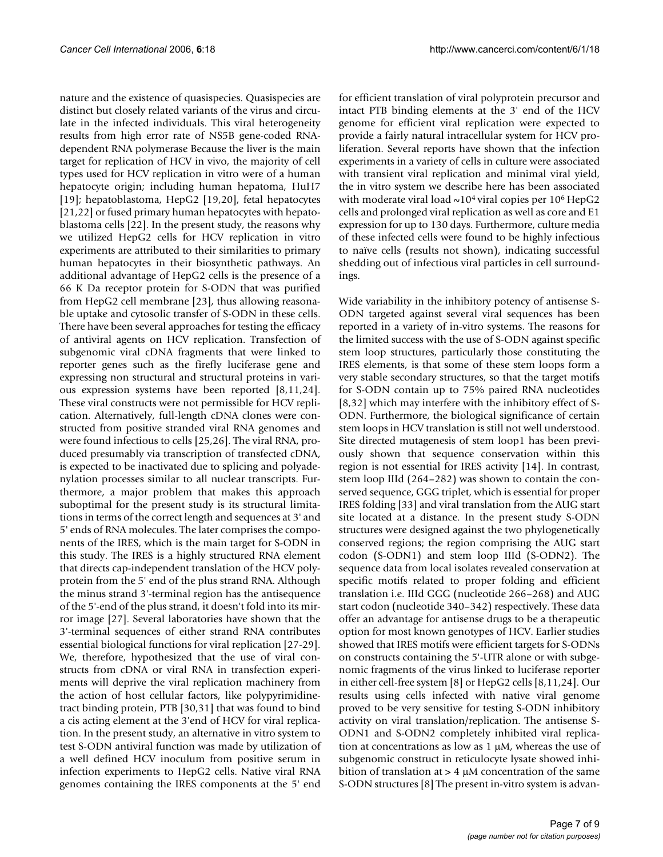nature and the existence of quasispecies. Quasispecies are distinct but closely related variants of the virus and circulate in the infected individuals. This viral heterogeneity results from high error rate of NS5B gene-coded RNAdependent RNA polymerase Because the liver is the main target for replication of HCV in vivo, the majority of cell types used for HCV replication in vitro were of a human hepatocyte origin; including human hepatoma, HuH7 [19]; hepatoblastoma, HepG2 [19,20], fetal hepatocytes [21,22] or fused primary human hepatocytes with hepatoblastoma cells [22]. In the present study, the reasons why we utilized HepG2 cells for HCV replication in vitro experiments are attributed to their similarities to primary human hepatocytes in their biosynthetic pathways. An additional advantage of HepG2 cells is the presence of a 66 K Da receptor protein for S-ODN that was purified from HepG2 cell membrane [23], thus allowing reasonable uptake and cytosolic transfer of S-ODN in these cells. There have been several approaches for testing the efficacy of antiviral agents on HCV replication. Transfection of subgenomic viral cDNA fragments that were linked to reporter genes such as the firefly luciferase gene and expressing non structural and structural proteins in various expression systems have been reported [8,11,24]. These viral constructs were not permissible for HCV replication. Alternatively, full-length cDNA clones were constructed from positive stranded viral RNA genomes and were found infectious to cells [25,26]. The viral RNA, produced presumably via transcription of transfected cDNA, is expected to be inactivated due to splicing and polyadenylation processes similar to all nuclear transcripts. Furthermore, a major problem that makes this approach suboptimal for the present study is its structural limitations in terms of the correct length and sequences at 3' and 5' ends of RNA molecules. The later comprises the components of the IRES, which is the main target for S-ODN in this study. The IRES is a highly structured RNA element that directs cap-independent translation of the HCV polyprotein from the 5' end of the plus strand RNA. Although the minus strand 3'-terminal region has the antisequence of the 5'-end of the plus strand, it doesn't fold into its mirror image [27]. Several laboratories have shown that the 3'-terminal sequences of either strand RNA contributes essential biological functions for viral replication [27-29]. We, therefore, hypothesized that the use of viral constructs from cDNA or viral RNA in transfection experiments will deprive the viral replication machinery from the action of host cellular factors, like polypyrimidinetract binding protein, PTB [30,31] that was found to bind a cis acting element at the 3'end of HCV for viral replication. In the present study, an alternative in vitro system to test S-ODN antiviral function was made by utilization of a well defined HCV inoculum from positive serum in infection experiments to HepG2 cells. Native viral RNA genomes containing the IRES components at the 5' end

for efficient translation of viral polyprotein precursor and intact PTB binding elements at the 3' end of the HCV genome for efficient viral replication were expected to provide a fairly natural intracellular system for HCV proliferation. Several reports have shown that the infection experiments in a variety of cells in culture were associated with transient viral replication and minimal viral yield, the in vitro system we describe here has been associated with moderate viral load  $\sim$ 10<sup>4</sup> viral copies per 10<sup>6</sup> HepG2 cells and prolonged viral replication as well as core and E1 expression for up to 130 days. Furthermore, culture media of these infected cells were found to be highly infectious to naïve cells (results not shown), indicating successful shedding out of infectious viral particles in cell surroundings.

Wide variability in the inhibitory potency of antisense S-ODN targeted against several viral sequences has been reported in a variety of in-vitro systems. The reasons for the limited success with the use of S-ODN against specific stem loop structures, particularly those constituting the IRES elements, is that some of these stem loops form a very stable secondary structures, so that the target motifs for S-ODN contain up to 75% paired RNA nucleotides [8,32] which may interfere with the inhibitory effect of S-ODN. Furthermore, the biological significance of certain stem loops in HCV translation is still not well understood. Site directed mutagenesis of stem loop1 has been previously shown that sequence conservation within this region is not essential for IRES activity [14]. In contrast, stem loop IIId (264–282) was shown to contain the conserved sequence, GGG triplet, which is essential for proper IRES folding [33] and viral translation from the AUG start site located at a distance. In the present study S-ODN structures were designed against the two phylogenetically conserved regions; the region comprising the AUG start codon (S-ODN1) and stem loop IIId (S-ODN2). The sequence data from local isolates revealed conservation at specific motifs related to proper folding and efficient translation i.e. IIId GGG (nucleotide 266–268) and AUG start codon (nucleotide 340–342) respectively. These data offer an advantage for antisense drugs to be a therapeutic option for most known genotypes of HCV. Earlier studies showed that IRES motifs were efficient targets for S-ODNs on constructs containing the 5'-UTR alone or with subgenomic fragments of the virus linked to luciferase reporter in either cell-free system [8] or HepG2 cells [8,11,24]. Our results using cells infected with native viral genome proved to be very sensitive for testing S-ODN inhibitory activity on viral translation/replication. The antisense S-ODN1 and S-ODN2 completely inhibited viral replication at concentrations as low as  $1 \mu$ M, whereas the use of subgenomic construct in reticulocyte lysate showed inhibition of translation at  $> 4 \mu M$  concentration of the same S-ODN structures [8] The present in-vitro system is advan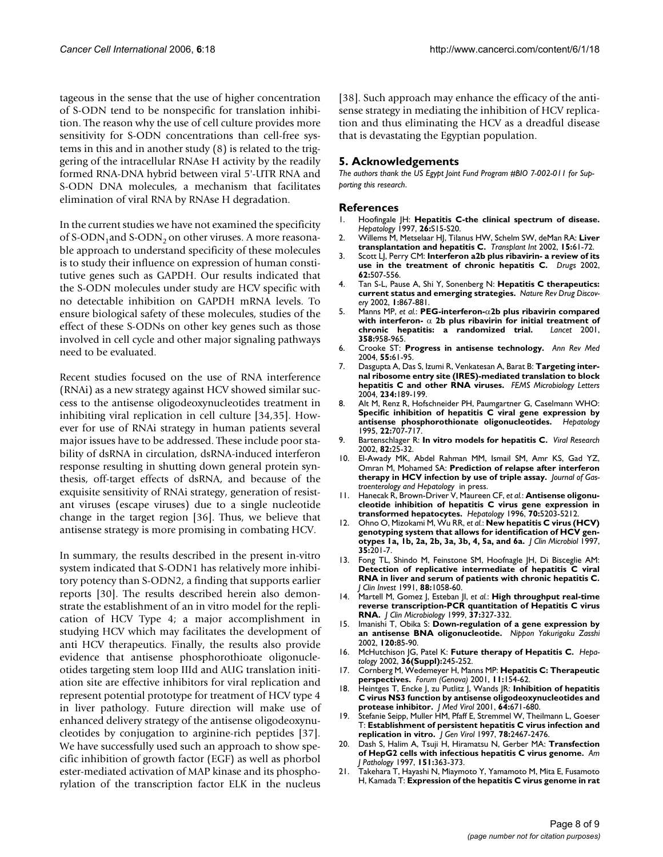tageous in the sense that the use of higher concentration of S-ODN tend to be nonspecific for translation inhibition. The reason why the use of cell culture provides more sensitivity for S-ODN concentrations than cell-free systems in this and in another study (8) is related to the triggering of the intracellular RNAse H activity by the readily formed RNA-DNA hybrid between viral 5'-UTR RNA and S-ODN DNA molecules, a mechanism that facilitates elimination of viral RNA by RNAse H degradation.

In the current studies we have not examined the specificity of S-ODN<sub>1</sub>and S-ODN<sub>2</sub> on other viruses. A more reasonable approach to understand specificity of these molecules is to study their influence on expression of human constitutive genes such as GAPDH. Our results indicated that the S-ODN molecules under study are HCV specific with no detectable inhibition on GAPDH mRNA levels. To ensure biological safety of these molecules, studies of the effect of these S-ODNs on other key genes such as those involved in cell cycle and other major signaling pathways need to be evaluated.

Recent studies focused on the use of RNA interference (RNAi) as a new strategy against HCV showed similar success to the antisense oligodeoxynucleotides treatment in inhibiting viral replication in cell culture [34,35]. However for use of RNAi strategy in human patients several major issues have to be addressed. These include poor stability of dsRNA in circulation, dsRNA-induced interferon response resulting in shutting down general protein synthesis, off-target effects of dsRNA, and because of the exquisite sensitivity of RNAi strategy, generation of resistant viruses (escape viruses) due to a single nucleotide change in the target region [36]. Thus, we believe that antisense strategy is more promising in combating HCV.

In summary, the results described in the present in-vitro system indicated that S-ODN1 has relatively more inhibitory potency than S-ODN2, a finding that supports earlier reports [30]. The results described herein also demonstrate the establishment of an in vitro model for the replication of HCV Type 4; a major accomplishment in studying HCV which may facilitates the development of anti HCV therapeutics. Finally, the results also provide evidence that antisense phosphorothioate oligonucleotides targeting stem loop IIId and AUG translation initiation site are effective inhibitors for viral replication and represent potential prototype for treatment of HCV type 4 in liver pathology. Future direction will make use of enhanced delivery strategy of the antisense oligodeoxynucleotides by conjugation to arginine-rich peptides [37]. We have successfully used such an approach to show specific inhibition of growth factor (EGF) as well as phorbol ester-mediated activation of MAP kinase and its phosphorylation of the transcription factor ELK in the nucleus [38]. Such approach may enhance the efficacy of the antisense strategy in mediating the inhibition of HCV replication and thus eliminating the HCV as a dreadful disease that is devastating the Egyptian population.

### **5. Acknowledgements**

*The authors thank the US Egypt Joint Fund Program #BIO 7-002-011 for Supporting this research*.

#### **References**

- 1. Hoofingale JH: **Hepatitis C-the clinical spectrum of disease.** *Hepatology* 1997, **26:**S15-S20.
- 2. Willems M, Metselaar HJ, Tilanus HW, Schelm SW, deMan RA: **Liver transplantation and hepatitis C.** *Transplant Int* 2002, **15:**61-72.
- 3. Scott LJ, Perry CM: **[Interferon a2b plus ribavirin- a review of its](http://www.ncbi.nlm.nih.gov/entrez/query.fcgi?cmd=Retrieve&db=PubMed&dopt=Abstract&list_uids=11827565) [use in the treatment of chronic hepatitis C.](http://www.ncbi.nlm.nih.gov/entrez/query.fcgi?cmd=Retrieve&db=PubMed&dopt=Abstract&list_uids=11827565)** *Drugs* 2002, **62:**507-556.
- 4. Tan S-L, Pause A, Shi Y, Sonenberg N: **Hepatitis C therapeutics: current status and emerging strategies.** *Nature Rev Drug Discovery* 2002, **1:**867-881.
- 5. Manns MP, *et al.*: **PEG-interferon-**α**2b plus ribavirin compared with interferon-** α **[2b plus ribavirin for initial treatment of](http://www.ncbi.nlm.nih.gov/entrez/query.fcgi?cmd=Retrieve&db=PubMed&dopt=Abstract&list_uids=11583749) [chronic hepatitis: a randomized trial.](http://www.ncbi.nlm.nih.gov/entrez/query.fcgi?cmd=Retrieve&db=PubMed&dopt=Abstract&list_uids=11583749)** *Lancet* 2001, **358:**958-965.
- 6. Crooke ST: **[Progress in antisense technology.](http://www.ncbi.nlm.nih.gov/entrez/query.fcgi?cmd=Retrieve&db=PubMed&dopt=Abstract&list_uids=14746510)** *Ann Rev Med* 2004, **55:**61-95.
- 7. Dasgupta A, Das S, Izumi R, Venkatesan A, Barat B: **[Targeting inter](http://www.ncbi.nlm.nih.gov/entrez/query.fcgi?cmd=Retrieve&db=PubMed&dopt=Abstract&list_uids=15135522)[nal ribosome entry site \(IRES\)-mediated translation to block](http://www.ncbi.nlm.nih.gov/entrez/query.fcgi?cmd=Retrieve&db=PubMed&dopt=Abstract&list_uids=15135522) [hepatitis C and other RNA viruses.](http://www.ncbi.nlm.nih.gov/entrez/query.fcgi?cmd=Retrieve&db=PubMed&dopt=Abstract&list_uids=15135522)** *FEMS Microbiology Letters* 2004, **234:**189-199.
- 8. Alt M, Renz R, Hofschneider PH, Paumgartner G, Caselmann WHO: **[Specific inhibition of hepatitis C viral gene expression by](http://www.ncbi.nlm.nih.gov/entrez/query.fcgi?cmd=Retrieve&db=PubMed&dopt=Abstract&list_uids=7657273) [antisense phosphorothionate oligonucleotides.](http://www.ncbi.nlm.nih.gov/entrez/query.fcgi?cmd=Retrieve&db=PubMed&dopt=Abstract&list_uids=7657273)** *Hepatology* 1995, **22:**707-717.
- 9. Bartenschlager R: **In vitro models for hepatitis C.** *Viral Research* 2002, **82:**25-32.
- 10. El-Awady MK, Abdel Rahman MM, Ismail SM, Amr KS, Gad YZ, Omran M, Mohamed SA: **Prediction of relapse after interferon therapy in HCV infection by use of triple assay.** *Journal of Gastroenterology and Hepatology* in press.
- 11. Hanecak R, Brown-Driver V, Maureen CF, *et al.*: **Antisense oligonucleotide inhibition of hepatitis C virus gene expression in transformed hepatocytes.** *Hepatology* 1996, **70:**5203-5212.
- 12. Ohno O, Mizokami M, Wu RR, *et al.*: **[New hepatitis C virus \(HCV\)](http://www.ncbi.nlm.nih.gov/entrez/query.fcgi?cmd=Retrieve&db=PubMed&dopt=Abstract&list_uids=8968908) [genotyping system that allows for identification of HCV gen](http://www.ncbi.nlm.nih.gov/entrez/query.fcgi?cmd=Retrieve&db=PubMed&dopt=Abstract&list_uids=8968908)[otypes 1a, 1b, 2a, 2b, 3a, 3b, 4, 5a, and 6a.](http://www.ncbi.nlm.nih.gov/entrez/query.fcgi?cmd=Retrieve&db=PubMed&dopt=Abstract&list_uids=8968908)** *J Clin Microbiol* 1997, **35:**201-7.
- 13. Fong TL, Shindo M, Feinstone SM, Hoofnagle JH, Di Bisceglie AM: **Detection of replicative intermediate of hepatitis C viral [RNA in liver and serum of patients with chronic hepatitis C.](http://www.ncbi.nlm.nih.gov/entrez/query.fcgi?cmd=Retrieve&db=PubMed&dopt=Abstract&list_uids=1653272)** *J Clin Invest* 1991, **88:**1058-60.
- 14. Martell M, Gomez J, Esteban JI, *et al.*: **High throughput real-time reverse transcription-PCR quantitation of Hepatitis C virus RNA.** *J Clin Microbiology* 1999, **37:**327-332.
- 15. Imanishi T, Obika S: **[Down-regulation of a gene expression by](http://www.ncbi.nlm.nih.gov/entrez/query.fcgi?cmd=Retrieve&db=PubMed&dopt=Abstract&list_uids=12187626) [an antisense BNA oligonucleotide.](http://www.ncbi.nlm.nih.gov/entrez/query.fcgi?cmd=Retrieve&db=PubMed&dopt=Abstract&list_uids=12187626)** *Nippon Yakurigaku Zasshi* 2002, **120:**85-90.
- 16. McHutchison JG, Patel K: **Future therapy of Hepatitis C.** *Hepatology* 2002, **36(Suppl):**245-252.
- 17. Cornberg M, Wedemeyer H, Manns MP: **[Hepatitis C: Therapeutic](http://www.ncbi.nlm.nih.gov/entrez/query.fcgi?cmd=Retrieve&db=PubMed&dopt=Abstract&list_uids=11948360) [perspectives.](http://www.ncbi.nlm.nih.gov/entrez/query.fcgi?cmd=Retrieve&db=PubMed&dopt=Abstract&list_uids=11948360)** *Forum (Genova)* 2001, **11:**154-62.
- 18. Heintges T, Encke J, zu Putlitz J, Wands JR: **Inhibition of hepatitis C virus NS3 function by antisense oligodeoxynucleotides and protease inhibitor.** *J Med Virol* 2001, **64:**671-680.
- 19. Stefanie Seipp, Muller HM, Pfaff E, Stremmel W, Theilmann L, Goeser T: **[Establishment of persistent hepatitis C virus infection and](http://www.ncbi.nlm.nih.gov/entrez/query.fcgi?cmd=Retrieve&db=PubMed&dopt=Abstract&list_uids=9349466) [replication in vitro.](http://www.ncbi.nlm.nih.gov/entrez/query.fcgi?cmd=Retrieve&db=PubMed&dopt=Abstract&list_uids=9349466)** *J Gen Virol* 1997, **78:**2467-2476.
- 20. Dash S, Halim A, Tsuji H, Hiramatsu N, Gerber MA: **Transfection of HepG2 cells with infectious hepatitis C virus genome.** *Am J Pathology* 1997, **151:**363-373.
- 21. Takehara T, Hayashi N, Miaymoto Y, Yamamoto M, Mita E, Fusamoto H, Kamada T: **[Expression of the hepatitis C virus genome in rat](http://www.ncbi.nlm.nih.gov/entrez/query.fcgi?cmd=Retrieve&db=PubMed&dopt=Abstract&list_uids=7875673)**